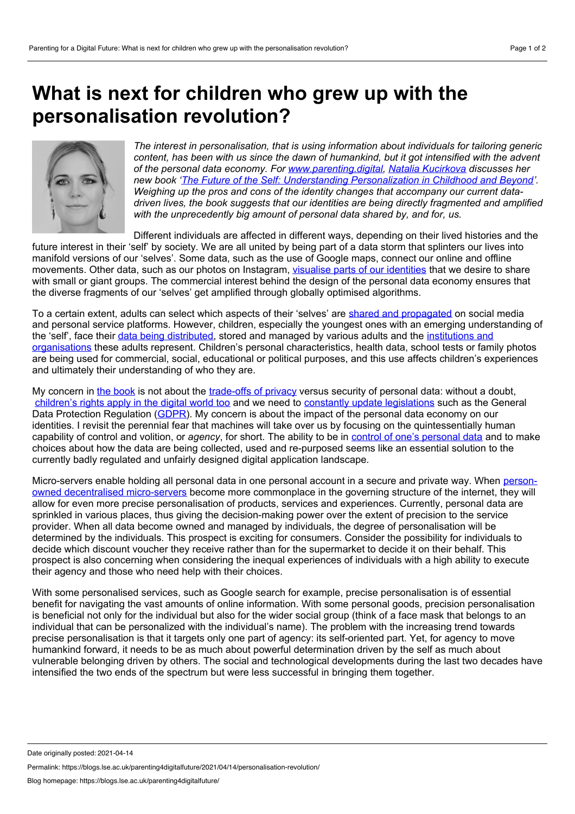## **What is next for children who grew up with the personalisation revolution?**



*The interest in personalisation, that is using information about individuals for tailoring generic content, has been with us since the dawn of humankind, but it got intensified with the advent of the personal data economy. For [www.parenting.digital](https://blogs.lse.ac.uk/parenting4digitalfuture/), Natalia [Kucirkova](http://www.open.ac.uk/research/people/nk3499) discusses her new book 'The Future of the Self: Understanding [Personalization](https://books.emeraldinsight.com/page/detail/The-Future-of-the-Self/?k=9781800439450) in Childhood and Beyond'. Weighing up the pros and cons of the identity changes that accompany our current data driven lives, the book suggests that our identities are being directly fragmented and amplified with the unprecedently big amount of personal data shared by, and for, us.*

Different individuals are affected in different ways, depending on their lived histories and the future interest in their 'self' by society. We are all united by being part of a data storm that splinters our lives into manifold versions of our 'selves'. Some data, such as the use of Google maps, connect our online and offline movements. Other data, such as our photos on Instagram, visualise parts of our [identities](https://blogs.lse.ac.uk/parenting4digitalfuture/2021/02/17/digital-storytelling/) that we desire to share with small or giant groups. The commercial interest behind the design of the personal data economy ensures that the diverse fragments of our 'selves' get amplified through globally optimised algorithms.

To a certain extent, adults can select which aspects of their 'selves' are shared and [propagated](https://blogs.lse.ac.uk/parenting4digitalfuture/2019/11/13/growing-up-shared-negotiating-the-risks-and-opportunities-of-sharenting/) on social media and personal service platforms. However, children, especially the youngest ones with an emerging understanding of the 'self', face their data being [distributed,](https://blogs.lse.ac.uk/parenting4digitalfuture/2020/08/12/sharenting-during-covid/) stored and managed by various adults and the institutions and organisations these adults represent. Children's personal [characteristics,](https://blogs.lse.ac.uk/parenting4digitalfuture/2019/12/11/data-and-privacy-in-the-digital-age-from-evidence-to-policy/) health data, school tests or family photos are being used for commercial, social, educational or political purposes, and this use affects children's experiences and ultimately their understanding of who they are.

My concern in the [book](https://books.emeraldinsight.com/page/detail/The-Future-of-the-Self/?k=9781800439450) is not about the [trade-offs](https://blogs.lse.ac.uk/parenting4digitalfuture/2020/07/15/privacy-in-the-platform-society/) of privacy versus security of personal data: without a doubt, [children's](https://blogs.lse.ac.uk/parenting4digitalfuture/2021/03/24/general-comment-25/) rights apply in the digital world too and we need to constantly update [legislations](https://blogs.lse.ac.uk/parenting4digitalfuture/2018/05/25/what-will-the-gdpr-mean-for-childrens-privacy-and-rights/) such as the General Data Protection Regulation ([GDPR\)](https://ico.org.uk/for-organisations/guide-to-data-protection/guide-to-the-general-data-protection-regulation-gdpr/). My concern is about the impact of the personal data economy on our identities. I revisit the perennial fear that machines will take over us by focusing on the quintessentially human capability of control and volition, or *agency*, for short. The ability to be in control of one's [personal](https://blogs.lse.ac.uk/parenting4digitalfuture/2019/09/18/childrens-expectations-regarding-fair-treatment-of-their-personal-data/) data and to make choices about how the data are being collected, used and re-purposed seems like an essential solution to the currently badly regulated and unfairly designed digital application landscape.

Micro-servers enable holding all personal data in one personal account in a secure and private way. When personowned decentralised micro-servers become more [commonplace](https://www.hubofallthings.com/) in the governing structure of the internet, they will allow for even more precise personalisation of products, services and experiences. Currently, personal data are sprinkled in various places, thus giving the decision-making power over the extent of precision to the service provider. When all data become owned and managed by individuals, the degree of personalisation will be determined by the individuals. This prospect is exciting for consumers. Consider the possibility for individuals to decide which discount voucher they receive rather than for the supermarket to decide it on their behalf. This prospect is also concerning when considering the inequal experiences of individuals with a high ability to execute their agency and those who need help with their choices.

With some personalised services, such as Google search for example, precise personalisation is of essential benefit for navigating the vast amounts of online information. With some personal goods, precision personalisation is beneficial not only for the individual but also for the wider social group (think of a face mask that belongs to an individual that can be personalized with the individual's name). The problem with the increasing trend towards precise personalisation is that it targets only one part of agency: its self-oriented part. Yet, for agency to move humankind forward, it needs to be as much about powerful determination driven by the self as much about vulnerable belonging driven by others. The social and technological developments during the last two decades have intensified the two ends of the spectrum but were less successful in bringing them together.

Date originally posted: 2021-04-14

Permalink: https://blogs.lse.ac.uk/parenting4digitalfuture/2021/04/14/personalisation-revolution/